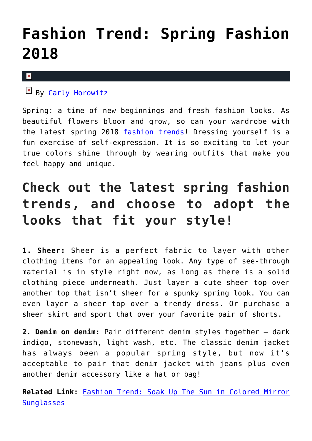## **[Fashion Trend: Spring Fashion](https://cupidspulse.com/122960/fashion-trend-spring-fashion-2018/) [2018](https://cupidspulse.com/122960/fashion-trend-spring-fashion-2018/)**

## $\pmb{\times}$

## $By$  [Carly Horowitz](http://cupidspulse.com/122831/carly-horowitz/)

Spring: a time of new beginnings and fresh fashion looks. As beautiful flowers bloom and grow, so can your wardrobe with the latest spring 2018 [fashion trends!](http://cupidspulse.com/fashion/) Dressing yourself is a fun exercise of self-expression. It is so exciting to let your true colors shine through by wearing outfits that make you feel happy and unique.

## **Check out the latest spring fashion trends, and choose to adopt the looks that fit your style!**

**1. Sheer:** Sheer is a perfect fabric to layer with other clothing items for an appealing look. Any type of see-through material is in style right now, as long as there is a solid clothing piece underneath. Just layer a cute sheer top over another top that isn't sheer for a spunky spring look. You can even layer a sheer top over a trendy dress. Or purchase a sheer skirt and sport that over your favorite pair of shorts.

**2. Denim on denim:** Pair different denim styles together — dark indigo, stonewash, light wash, etc. The classic denim jacket has always been a popular spring style, but now it's acceptable to pair that denim jacket with jeans plus even another denim accessory like a hat or bag!

**Related Link:** [Fashion Trend: Soak Up The Sun in Colored Mirror](http://cupidspulse.com/119495/fashion-trend-sun-colored-mirror-sunglasses/) **[Sunglasses](http://cupidspulse.com/119495/fashion-trend-sun-colored-mirror-sunglasses/)**